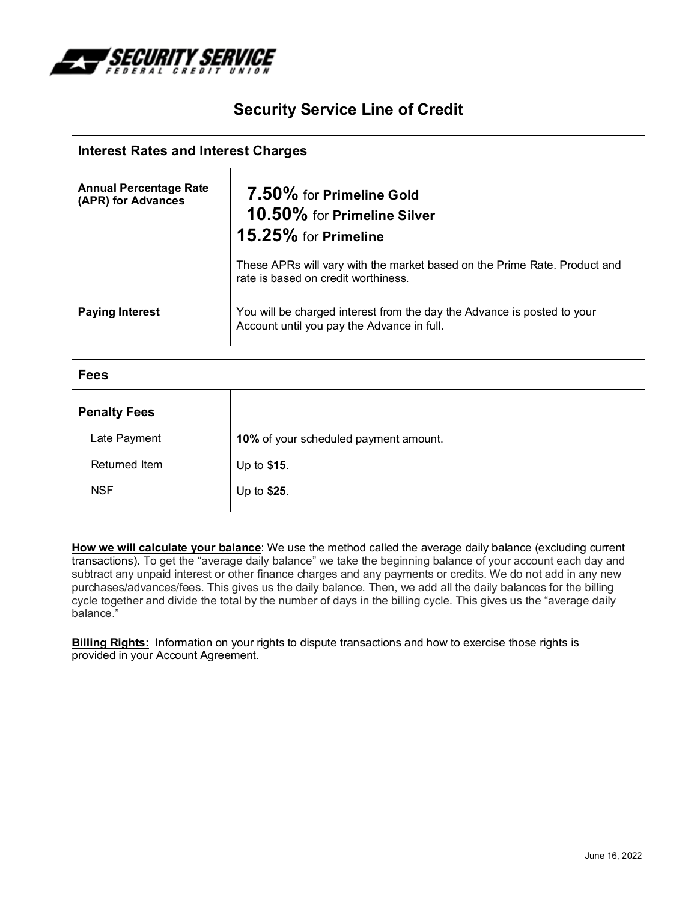

# **Security Service Line of Credit**

| <b>Interest Rates and Interest Charges</b>          |                                                                                                                       |
|-----------------------------------------------------|-----------------------------------------------------------------------------------------------------------------------|
| <b>Annual Percentage Rate</b><br>(APR) for Advances | 7.50% for Primeline Gold<br>10.50% for Primeline Silver<br>15.25% for Primeline                                       |
|                                                     | These APRs will vary with the market based on the Prime Rate. Product and<br>rate is based on credit worthiness.      |
| <b>Paying Interest</b>                              | You will be charged interest from the day the Advance is posted to your<br>Account until you pay the Advance in full. |

| <b>Fees</b>         |                                       |
|---------------------|---------------------------------------|
| <b>Penalty Fees</b> |                                       |
| Late Payment        | 10% of your scheduled payment amount. |
| Returned Item       | Up to \$15.                           |
| <b>NSF</b>          | Up to \$25.                           |

**How we will calculate your balance**: We use the method called the average daily balance (excluding current transactions). To get the "average daily balance" we take the beginning balance of your account each day and subtract any unpaid interest or other finance charges and any payments or credits. We do not add in any new purchases/advances/fees. This gives us the daily balance. Then, we add all the daily balances for the billing cycle together and divide the total by the number of days in the billing cycle. This gives us the "average daily balance."

**Billing Rights:** Information on your rights to dispute transactions and how to exercise those rights is provided in your Account Agreement.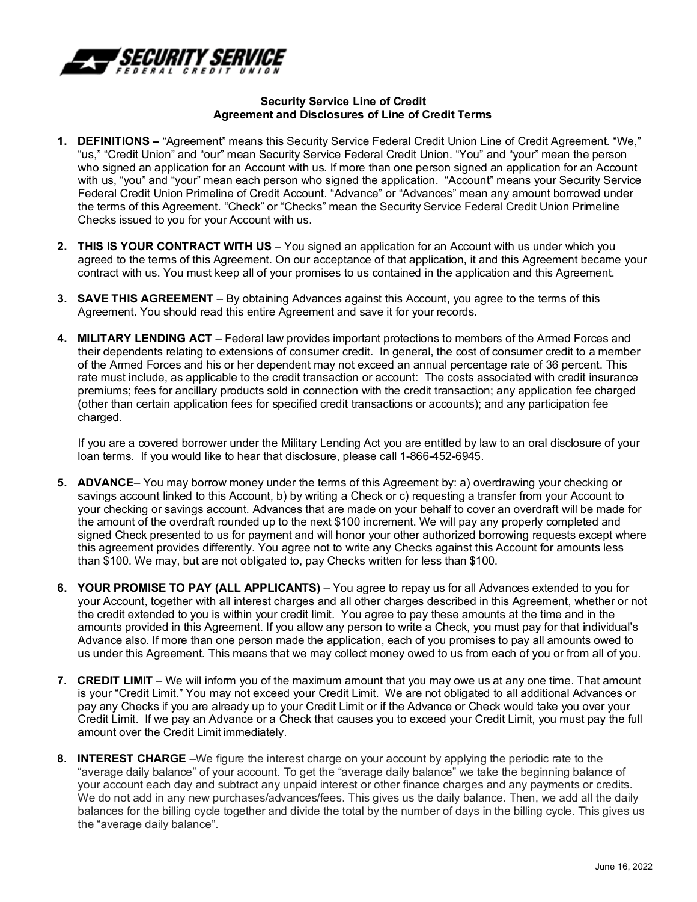

### **Security Service Line of Credit Agreement and Disclosures of Line of Credit Terms**

- **1. DEFINITIONS** "Agreement" means this Security Service Federal Credit Union Line of Credit Agreement. "We," "us," "Credit Union" and "our" mean Security Service Federal Credit Union. "You" and "your" mean the person who signed an application for an Account with us. If more than one person signed an application for an Account with us, "you" and "your" mean each person who signed the application. "Account" means your Security Service Federal Credit Union Primeline of Credit Account. "Advance" or "Advances" mean any amount borrowed under the terms of this Agreement. "Check" or "Checks" mean the Security Service Federal Credit Union Primeline Checks issued to you for your Account with us.
- **2. THIS IS YOUR CONTRACT WITH US**  You signed an application for an Account with us under which you agreed to the terms of this Agreement. On our acceptance of that application, it and this Agreement became your contract with us. You must keep all of your promises to us contained in the application and this Agreement.
- **3. SAVE THIS AGREEMENT**  By obtaining Advances against this Account, you agree to the terms of this Agreement. You should read this entire Agreement and save it for your records.
- **4. MILITARY LENDING ACT** Federal law provides important protections to members of the Armed Forces and their dependents relating to extensions of consumer credit. In general, the cost of consumer credit to a member of the Armed Forces and his or her dependent may not exceed an annual percentage rate of 36 percent. This rate must include, as applicable to the credit transaction or account: The costs associated with credit insurance premiums; fees for ancillary products sold in connection with the credit transaction; any application fee charged (other than certain application fees for specified credit transactions or accounts); and any participation fee charged.

If you are a covered borrower under the Military Lending Act you are entitled by law to an oral disclosure of your loan terms. If you would like to hear that disclosure, please call 1-866-452-6945.

- **5. ADVANCE** You may borrow money under the terms of this Agreement by: a) overdrawing your checking or savings account linked to this Account, b) by writing a Check or c) requesting a transfer from your Account to your checking or savings account. Advances that are made on your behalf to cover an overdraft will be made for the amount of the overdraft rounded up to the next \$100 increment. We will pay any properly completed and signed Check presented to us for payment and will honor your other authorized borrowing requests except where this agreement provides differently. You agree not to write any Checks against this Account for amounts less than \$100. We may, but are not obligated to, pay Checks written for less than \$100.
- **6. YOUR PROMISE TO PAY (ALL APPLICANTS)** You agree to repay us for all Advances extended to you for your Account, together with all interest charges and all other charges described in this Agreement, whether or not the credit extended to you is within your credit limit. You agree to pay these amounts at the time and in the amounts provided in this Agreement. If you allow any person to write a Check, you must pay for that individual's Advance also. If more than one person made the application, each of you promises to pay all amounts owed to us under this Agreement. This means that we may collect money owed to us from each of you or from all of you.
- **7. CREDIT LIMIT**  We will inform you of the maximum amount that you may owe us at any one time. That amount is your "Credit Limit." You may not exceed your Credit Limit. We are not obligated to all additional Advances or pay any Checks if you are already up to your Credit Limit or if the Advance or Check would take you over your Credit Limit. If we pay an Advance or a Check that causes you to exceed your Credit Limit, you must pay the full amount over the Credit Limit immediately.
- **8. INTEREST CHARGE** –We figure the interest charge on your account by applying the periodic rate to the "average daily balance" of your account. To get the "average daily balance" we take the beginning balance of your account each day and subtract any unpaid interest or other finance charges and any payments or credits. We do not add in any new purchases/advances/fees. This gives us the daily balance. Then, we add all the daily balances for the billing cycle together and divide the total by the number of days in the billing cycle. This gives us the "average daily balance".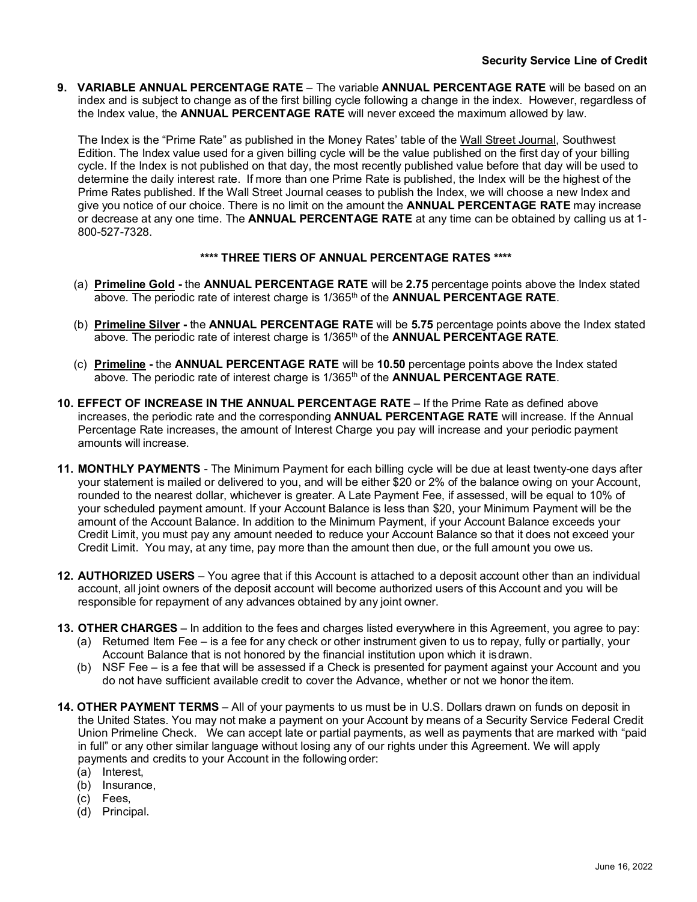**9. VARIABLE ANNUAL PERCENTAGE RATE** – The variable **ANNUAL PERCENTAGE RATE** will be based on an index and is subject to change as of the first billing cycle following a change in the index. However, regardless of the Index value, the **ANNUAL PERCENTAGE RATE** will never exceed the maximum allowed by law.

The Index is the "Prime Rate" as published in the Money Rates' table of the Wall Street Journal, Southwest Edition. The Index value used for a given billing cycle will be the value published on the first day of your billing cycle. If the Index is not published on that day, the most recently published value before that day will be used to determine the daily interest rate. If more than one Prime Rate is published, the Index will be the highest of the Prime Rates published. If the Wall Street Journal ceases to publish the Index, we will choose a new Index and give you notice of our choice. There is no limit on the amount the **ANNUAL PERCENTAGE RATE** may increase or decrease at any one time. The **ANNUAL PERCENTAGE RATE** at any time can be obtained by calling us at 1- 800-527-7328.

## **\*\*\*\* THREE TIERS OF ANNUAL PERCENTAGE RATES \*\*\*\***

- (a) **Primeline Gold** the **ANNUAL PERCENTAGE RATE** will be **2.75** percentage points above the Index stated above. The periodic rate of interest charge is 1/365th of the **ANNUAL PERCENTAGE RATE**.
- (b) **Primeline Silver -** the **ANNUAL PERCENTAGE RATE** will be **5.75** percentage points above the Index stated above. The periodic rate of interest charge is 1/365th of the **ANNUAL PERCENTAGE RATE**.
- (c) **Primeline -** the **ANNUAL PERCENTAGE RATE** will be **10.50** percentage points above the Index stated above. The periodic rate of interest charge is 1/365th of the **ANNUAL PERCENTAGE RATE**.
- **10. EFFECT OF INCREASE IN THE ANNUAL PERCENTAGE RATE**  If the Prime Rate as defined above increases, the periodic rate and the corresponding **ANNUAL PERCENTAGE RATE** will increase. If the Annual Percentage Rate increases, the amount of Interest Charge you pay will increase and your periodic payment amounts will increase.
- **11. MONTHLY PAYMENTS**  The Minimum Payment for each billing cycle will be due at least twenty-one days after your statement is mailed or delivered to you, and will be either \$20 or 2% of the balance owing on your Account, rounded to the nearest dollar, whichever is greater. A Late Payment Fee, if assessed, will be equal to 10% of your scheduled payment amount. If your Account Balance is less than \$20, your Minimum Payment will be the amount of the Account Balance. In addition to the Minimum Payment, if your Account Balance exceeds your Credit Limit, you must pay any amount needed to reduce your Account Balance so that it does not exceed your Credit Limit. You may, at any time, pay more than the amount then due, or the full amount you owe us.
- **12. AUTHORIZED USERS**  You agree that if this Account is attached to a deposit account other than an individual account, all joint owners of the deposit account will become authorized users of this Account and you will be responsible for repayment of any advances obtained by any joint owner.
- **13. OTHER CHARGES** In addition to the fees and charges listed everywhere in this Agreement, you agree to pay:
	- (a) Returned Item Fee is a fee for any check or other instrument given to us to repay, fully or partially, your Account Balance that is not honored by the financial institution upon which it isdrawn.
	- (b) NSF Fee is a fee that will be assessed if a Check is presented for payment against your Account and you do not have sufficient available credit to cover the Advance, whether or not we honor the item.
- **14. OTHER PAYMENT TERMS**  All of your payments to us must be in U.S. Dollars drawn on funds on deposit in the United States. You may not make a payment on your Account by means of a Security Service Federal Credit Union Primeline Check. We can accept late or partial payments, as well as payments that are marked with "paid in full" or any other similar language without losing any of our rights under this Agreement. We will apply payments and credits to your Account in the following order:
	- (a) Interest,
	- (b) Insurance,
	- (c) Fees,
	- (d) Principal.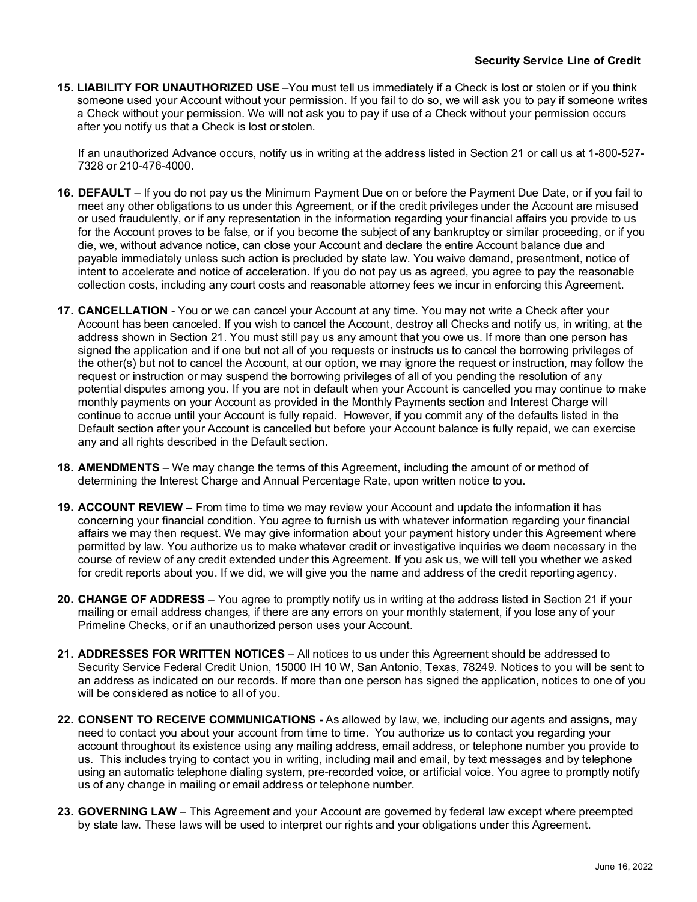**15. LIABILITY FOR UNAUTHORIZED USE** –You must tell us immediately if a Check is lost or stolen or if you think someone used your Account without your permission. If you fail to do so, we will ask you to pay if someone writes a Check without your permission. We will not ask you to pay if use of a Check without your permission occurs after you notify us that a Check is lost or stolen.

If an unauthorized Advance occurs, notify us in writing at the address listed in Section 21 or call us at 1-800-527- 7328 or 210-476-4000.

- **16. DEFAULT**  If you do not pay us the Minimum Payment Due on or before the Payment Due Date, or if you fail to meet any other obligations to us under this Agreement, or if the credit privileges under the Account are misused or used fraudulently, or if any representation in the information regarding your financial affairs you provide to us for the Account proves to be false, or if you become the subject of any bankruptcy or similar proceeding, or if you die, we, without advance notice, can close your Account and declare the entire Account balance due and payable immediately unless such action is precluded by state law. You waive demand, presentment, notice of intent to accelerate and notice of acceleration. If you do not pay us as agreed, you agree to pay the reasonable collection costs, including any court costs and reasonable attorney fees we incur in enforcing this Agreement.
- **17. CANCELLATION**  You or we can cancel your Account at any time. You may not write a Check after your Account has been canceled. If you wish to cancel the Account, destroy all Checks and notify us, in writing, at the address shown in Section 21. You must still pay us any amount that you owe us. If more than one person has signed the application and if one but not all of you requests or instructs us to cancel the borrowing privileges of the other(s) but not to cancel the Account, at our option, we may ignore the request or instruction, may follow the request or instruction or may suspend the borrowing privileges of all of you pending the resolution of any potential disputes among you. If you are not in default when your Account is cancelled you may continue to make monthly payments on your Account as provided in the Monthly Payments section and Interest Charge will continue to accrue until your Account is fully repaid. However, if you commit any of the defaults listed in the Default section after your Account is cancelled but before your Account balance is fully repaid, we can exercise any and all rights described in the Default section.
- **18. AMENDMENTS**  We may change the terms of this Agreement, including the amount of or method of determining the Interest Charge and Annual Percentage Rate, upon written notice to you.
- **19. ACCOUNT REVIEW –** From time to time we may review your Account and update the information it has concerning your financial condition. You agree to furnish us with whatever information regarding your financial affairs we may then request. We may give information about your payment history under this Agreement where permitted by law. You authorize us to make whatever credit or investigative inquiries we deem necessary in the course of review of any credit extended under this Agreement. If you ask us, we will tell you whether we asked for credit reports about you. If we did, we will give you the name and address of the credit reporting agency.
- **20. CHANGE OF ADDRESS**  You agree to promptly notify us in writing at the address listed in Section 21 if your mailing or email address changes, if there are any errors on your monthly statement, if you lose any of your Primeline Checks, or if an unauthorized person uses your Account.
- **21. ADDRESSES FOR WRITTEN NOTICES**  All notices to us under this Agreement should be addressed to Security Service Federal Credit Union, 15000 IH 10 W, San Antonio, Texas, 78249. Notices to you will be sent to an address as indicated on our records. If more than one person has signed the application, notices to one of you will be considered as notice to all of you.
- **22. CONSENT TO RECEIVE COMMUNICATIONS -** As allowed by law, we, including our agents and assigns, may need to contact you about your account from time to time. You authorize us to contact you regarding your account throughout its existence using any mailing address, email address, or telephone number you provide to us. This includes trying to contact you in writing, including mail and email, by text messages and by telephone using an automatic telephone dialing system, pre-recorded voice, or artificial voice. You agree to promptly notify us of any change in mailing or email address or telephone number.
- **23. GOVERNING LAW**  This Agreement and your Account are governed by federal law except where preempted by state law. These laws will be used to interpret our rights and your obligations under this Agreement.